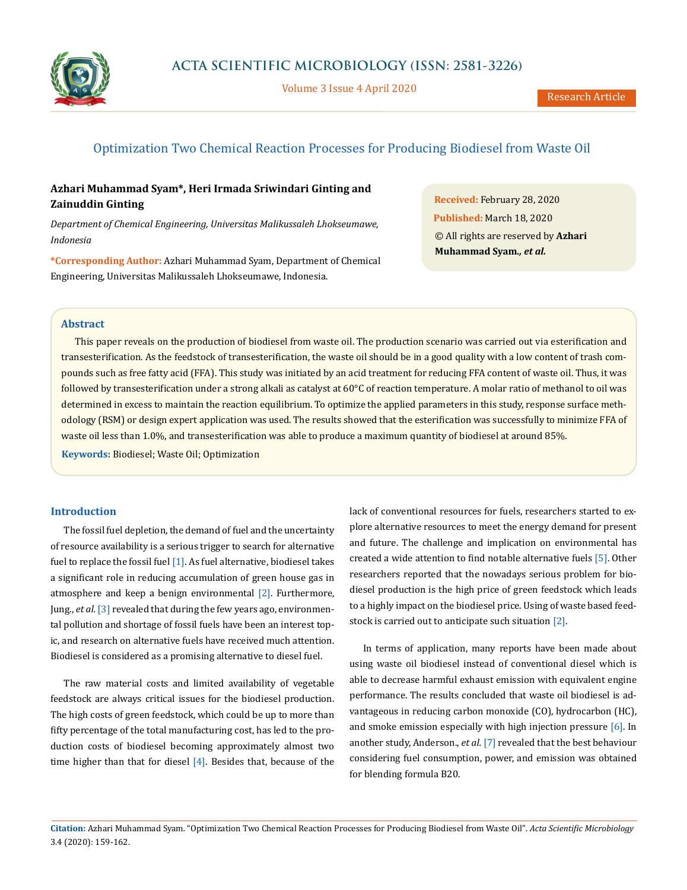

Volume 3 Issue 4 April 2020

# Optimization Two Chemical Reaction Processes for Producing Biodiesel from Waste Oil

# **Azhari Muhammad Syam\*, Heri Irmada Sriwindari Ginting and Zainuddin Ginting**

*Department of Chemical Engineering, Universitas Malikussaleh Lhokseumawe, Indonesia*

**\*Corresponding Author:** Azhari Muhammad Syam, Department of Chemical Engineering, Universitas Malikussaleh Lhokseumawe, Indonesia.

**Received:** February 28, 2020 **Published:** March 18, 2020 © All rights are reserved by **Azhari Muhammad Syam***., et al.*

## **Abstract**

This paper reveals on the production of biodiesel from waste oil. The production scenario was carried out via esterification and transesterification. As the feedstock of transesterification, the waste oil should be in a good quality with a low content of trash compounds such as free fatty acid (FFA). This study was initiated by an acid treatment for reducing FFA content of waste oil. Thus, it was followed by transesterification under a strong alkali as catalyst at 60°C of reaction temperature. A molar ratio of methanol to oil was determined in excess to maintain the reaction equilibrium. To optimize the applied parameters in this study, response surface methodology (RSM) or design expert application was used. The results showed that the esterification was successfully to minimize FFA of waste oil less than 1.0%, and transesterification was able to produce a maximum quantity of biodiesel at around 85%.

**Keywords:** Biodiesel; Waste Oil; Optimization

## **Introduction**

The fossil fuel depletion, the demand of fuel and the uncertainty of resource availability is a serious trigger to search for alternative fuel to replace the fossil fuel [1]. As fuel alternative, biodiesel takes a significant role in reducing accumulation of green house gas in atmosphere and keep a benign environmental [2]. Furthermore, Jung., *et al.* [3] revealed that during the few years ago, environmental pollution and shortage of fossil fuels have been an interest topic, and research on alternative fuels have received much attention. Biodiesel is considered as a promising alternative to diesel fuel.

The raw material costs and limited availability of vegetable feedstock are always critical issues for the biodiesel production. The high costs of green feedstock, which could be up to more than fifty percentage of the total manufacturing cost, has led to the production costs of biodiesel becoming approximately almost two time higher than that for diesel [4]. Besides that, because of the lack of conventional resources for fuels, researchers started to explore alternative resources to meet the energy demand for present and future. The challenge and implication on environmental has created a wide attention to find notable alternative fuels [5]. Other researchers reported that the nowadays serious problem for biodiesel production is the high price of green feedstock which leads to a highly impact on the biodiesel price. Using of waste based feedstock is carried out to anticipate such situation [2].

In terms of application, many reports have been made about using waste oil biodiesel instead of conventional diesel which is able to decrease harmful exhaust emission with equivalent engine performance. The results concluded that waste oil biodiesel is advantageous in reducing carbon monoxide (CO), hydrocarbon (HC), and smoke emission especially with high injection pressure  $[6]$ . In another study, Anderson., *et al.* [7] revealed that the best behaviour considering fuel consumption, power, and emission was obtained for blending formula B20.

**Citation:** Azhari Muhammad Syam*.* "Optimization Two Chemical Reaction Processes for Producing Biodiesel from Waste Oil". *Acta Scientific Microbiology*  3.4 (2020): 159-162.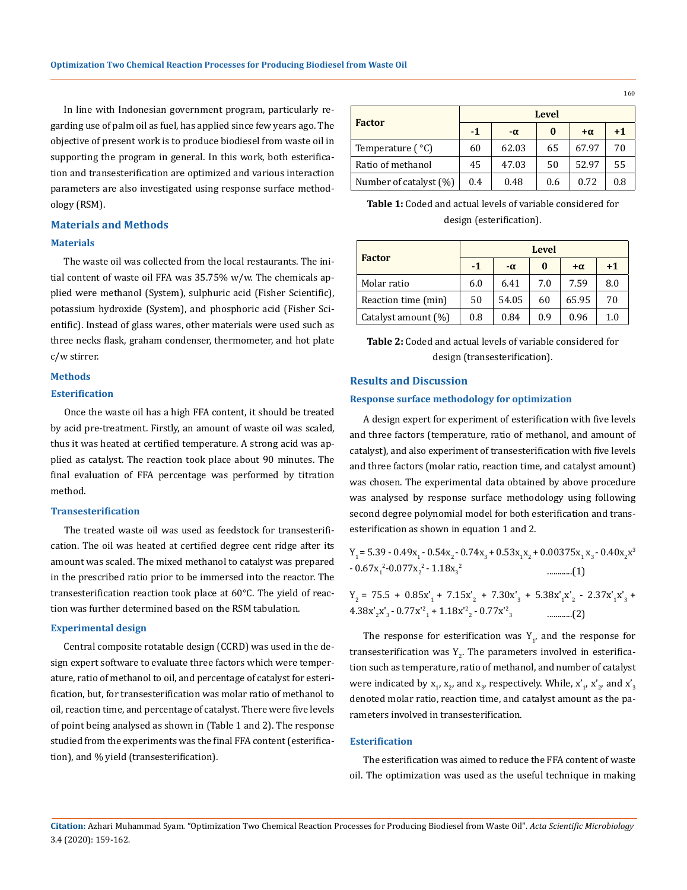In line with Indonesian government program, particularly regarding use of palm oil as fuel, has applied since few years ago. The objective of present work is to produce biodiesel from waste oil in supporting the program in general. In this work, both esterification and transesterification are optimized and various interaction parameters are also investigated using response surface methodology (RSM).

#### **Materials and Methods**

## **Materials**

The waste oil was collected from the local restaurants. The initial content of waste oil FFA was 35.75% w/w. The chemicals applied were methanol (System), sulphuric acid (Fisher Scientific), potassium hydroxide (System), and phosphoric acid (Fisher Scientific). Instead of glass wares, other materials were used such as three necks flask, graham condenser, thermometer, and hot plate c/w stirrer.

#### **Methods**

#### **Esterification**

Once the waste oil has a high FFA content, it should be treated by acid pre-treatment. Firstly, an amount of waste oil was scaled, thus it was heated at certified temperature. A strong acid was applied as catalyst. The reaction took place about 90 minutes. The final evaluation of FFA percentage was performed by titration method.

### **Transesterification**

The treated waste oil was used as feedstock for transesterification. The oil was heated at certified degree cent ridge after its amount was scaled. The mixed methanol to catalyst was prepared in the prescribed ratio prior to be immersed into the reactor. The transesterification reaction took place at 60°C. The yield of reaction was further determined based on the RSM tabulation.

## **Experimental design**

Central composite rotatable design (CCRD) was used in the design expert software to evaluate three factors which were temperature, ratio of methanol to oil, and percentage of catalyst for esterification, but, for transesterification was molar ratio of methanol to oil, reaction time, and percentage of catalyst. There were five levels of point being analysed as shown in (Table 1 and 2). The response studied from the experiments was the final FFA content (esterification), and % yield (transesterification).

| <b>Factor</b>          | <b>Level</b> |           |     |           |      |  |
|------------------------|--------------|-----------|-----|-----------|------|--|
|                        | $-1$         | $-\alpha$ | 0   | $+\alpha$ | $+1$ |  |
| Temperature $(°C)$     | 60           | 62.03     | 65  | 67.97     | 70   |  |
| Ratio of methanol      | 45           | 47.03     | 50  | 52.97     | 55   |  |
| Number of catalyst (%) | 0.4          | 0.48      | 0.6 | 0.72      | 0.8  |  |

**Table 1:** Coded and actual levels of variable considered for design (esterification).

| <b>Factor</b>       | <b>Level</b> |           |          |           |      |  |
|---------------------|--------------|-----------|----------|-----------|------|--|
|                     | $-1$         | $-\alpha$ | $\bf{0}$ | $+\alpha$ | $+1$ |  |
| Molar ratio         | 6.0          | 6.41      | 7.0      | 7.59      | 8.0  |  |
| Reaction time (min) | 50           | 54.05     | 60       | 65.95     | 70   |  |
| Catalyst amount (%) | 0.8          | 0.84      | 0.9      | 0.96      | 1.0  |  |

**Table 2:** Coded and actual levels of variable considered for design (transesterification).

### **Results and Discussion**

#### **Response surface methodology for optimization**

A design expert for experiment of esterification with five levels and three factors (temperature, ratio of methanol, and amount of catalyst), and also experiment of transesterification with five levels and three factors (molar ratio, reaction time, and catalyst amount) was chosen. The experimental data obtained by above procedure was analysed by response surface methodology using following second degree polynomial model for both esterification and transesterification as shown in equation 1 and 2.

|                                       | $Y_1 = 5.39 - 0.49x_1 - 0.54x_2 - 0.74x_3 + 0.53x_1x_2 + 0.00375x_1x_3 - 0.40x_2x^3$ |
|---------------------------------------|--------------------------------------------------------------------------------------|
| $-0.67x_1^2 - 0.077x_2^2 - 1.18x_2^2$ |                                                                                      |

 $Y_2 = 75.5 + 0.85x'_1 + 7.15x'_2 + 7.30x'_3 + 5.38x'_1x'_2 - 2.37x'_1x'_3 +$ 4.38x'<sup>2</sup> x'3 - 0.77x'<sup>2</sup> 1 + 1.18x'<sup>2</sup> 2 - 0.77x'<sup>2</sup> <sup>3</sup> ............(2)

The response for esterification was  $Y_{1'}$  and the response for transesterification was  $Y_2$ . The parameters involved in esterification such as temperature, ratio of methanol, and number of catalyst were indicated by  $x_1$ ,  $x_2$ , and  $x_3$ , respectively. While,  $x'_1$ ,  $x'_2$ , and  $x'_3$ denoted molar ratio, reaction time, and catalyst amount as the parameters involved in transesterification.

#### **Esterification**

The esterification was aimed to reduce the FFA content of waste oil. The optimization was used as the useful technique in making

160

**Citation:** Azhari Muhammad Syam*.* "Optimization Two Chemical Reaction Processes for Producing Biodiesel from Waste Oil". *Acta Scientific Microbiology*  3.4 (2020): 159-162.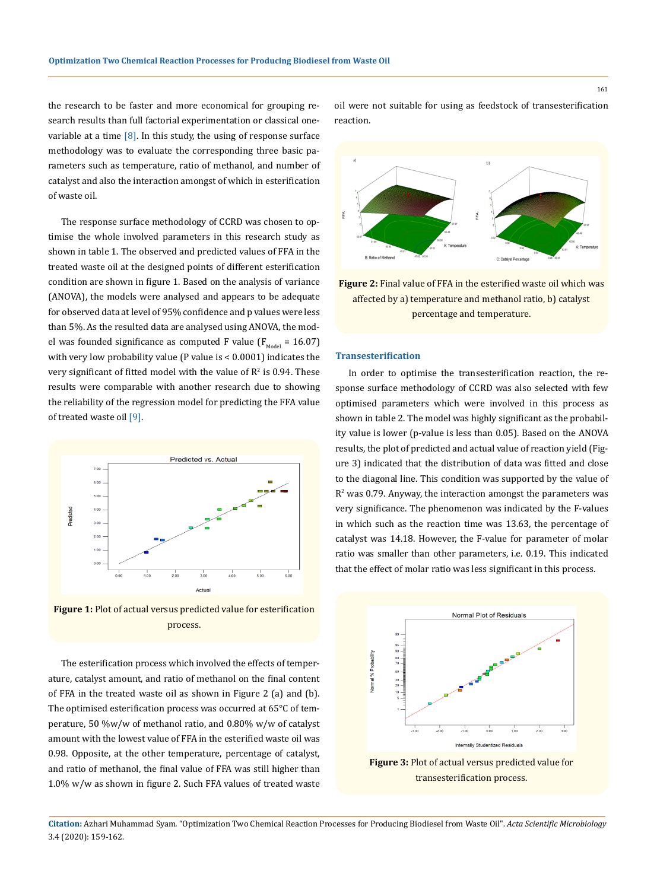the research to be faster and more economical for grouping research results than full factorial experimentation or classical onevariable at a time  $[8]$ . In this study, the using of response surface methodology was to evaluate the corresponding three basic parameters such as temperature, ratio of methanol, and number of catalyst and also the interaction amongst of which in esterification of waste oil.

The response surface methodology of CCRD was chosen to optimise the whole involved parameters in this research study as shown in table 1. The observed and predicted values of FFA in the treated waste oil at the designed points of different esterification condition are shown in figure 1. Based on the analysis of variance (ANOVA), the models were analysed and appears to be adequate for observed data at level of 95% confidence and p values were less than 5%. As the resulted data are analysed using ANOVA, the model was founded significance as computed F value ( $F_{\text{Model}} = 16.07$ ) with very low probability value (P value is < 0.0001) indicates the very significant of fitted model with the value of  $\mathsf{R}^2$  is 0.94. These results were comparable with another research due to showing the reliability of the regression model for predicting the FFA value of treated waste oil [9].



**Figure 1:** Plot of actual versus predicted value for esterification process.

The esterification process which involved the effects of temperature, catalyst amount, and ratio of methanol on the final content of FFA in the treated waste oil as shown in Figure 2 (a) and (b). The optimised esterification process was occurred at 65°C of temperature, 50 %w/w of methanol ratio, and 0.80% w/w of catalyst amount with the lowest value of FFA in the esterified waste oil was 0.98. Opposite, at the other temperature, percentage of catalyst, and ratio of methanol, the final value of FFA was still higher than 1.0% w/w as shown in figure 2. Such FFA values of treated waste oil were not suitable for using as feedstock of transesterification reaction.



**Figure 2:** Final value of FFA in the esterified waste oil which was affected by a) temperature and methanol ratio, b) catalyst percentage and temperature.

#### **Transesterification**

In order to optimise the transesterification reaction, the response surface methodology of CCRD was also selected with few optimised parameters which were involved in this process as shown in table 2. The model was highly significant as the probability value is lower (p-value is less than 0.05). Based on the ANOVA results, the plot of predicted and actual value of reaction yield (Figure 3) indicated that the distribution of data was fitted and close to the diagonal line. This condition was supported by the value of  $R<sup>2</sup>$  was 0.79. Anyway, the interaction amongst the parameters was very significance. The phenomenon was indicated by the F-values in which such as the reaction time was 13.63, the percentage of catalyst was 14.18. However, the F-value for parameter of molar ratio was smaller than other parameters, i.e. 0.19. This indicated that the effect of molar ratio was less significant in this process.



**Figure 3:** Plot of actual versus predicted value for transesterification process.

**Citation:** Azhari Muhammad Syam*.* "Optimization Two Chemical Reaction Processes for Producing Biodiesel from Waste Oil". *Acta Scientific Microbiology*  3.4 (2020): 159-162.